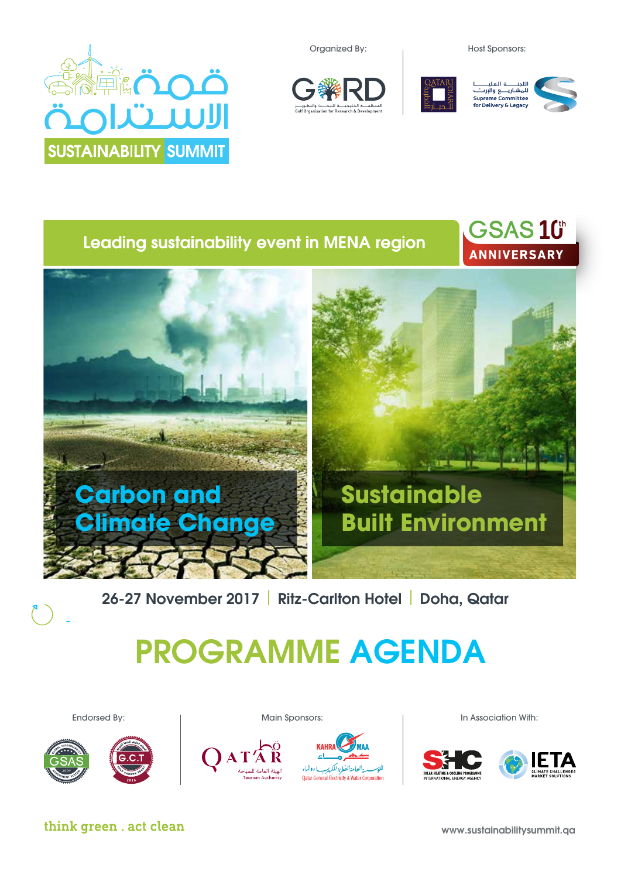Organized By: The Most Sponsors:









GSAS 10th



# Leading sustainability event in MENA region



26-27 November 2017 | Ritz-Carlton Hotel | Doha, Qatar

# PROGRAMME AGENDA





Main Sponsors:





Endorsed By: In Association With:



think green . act clean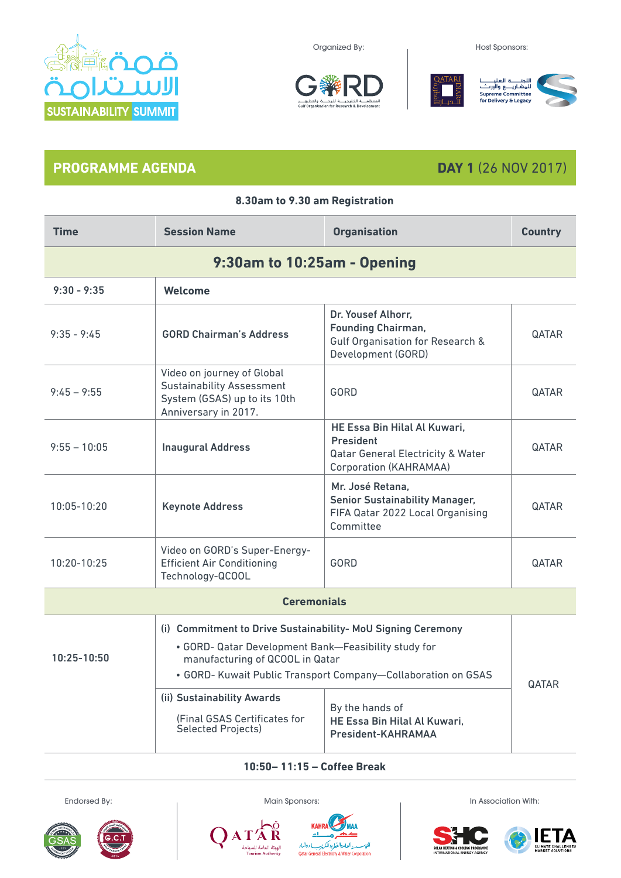

Organized By: The Contract of the Host Sponsors:



**8.30am to 9.30 am Registration**





## **PROGRAMME AGENDA DAY 1** (26 NOV 2017)

| <b>Time</b>        | <b>Session Name</b>                                                                                                                                                                                                                         | <b>Organisation</b>                                                                                                                    | <b>Country</b> |  |
|--------------------|---------------------------------------------------------------------------------------------------------------------------------------------------------------------------------------------------------------------------------------------|----------------------------------------------------------------------------------------------------------------------------------------|----------------|--|
|                    | 9:30am to 10:25am - Opening                                                                                                                                                                                                                 |                                                                                                                                        |                |  |
| $9:30 - 9:35$      | Welcome                                                                                                                                                                                                                                     |                                                                                                                                        |                |  |
| $9:35 - 9:45$      | <b>GORD Chairman's Address</b>                                                                                                                                                                                                              | Dr. Yousef Alhorr,<br><b>Founding Chairman,</b><br>Gulf Organisation for Research &<br>Development (GORD)                              | <b>QATAR</b>   |  |
| $9:45 - 9:55$      | Video on journey of Global<br><b>Sustainability Assessment</b><br>System (GSAS) up to its 10th<br>Anniversary in 2017.                                                                                                                      | GORD                                                                                                                                   | <b>QATAR</b>   |  |
| $9:55 - 10:05$     | <b>Inaugural Address</b>                                                                                                                                                                                                                    | HE Essa Bin Hilal Al Kuwari,<br><b>President</b><br><b>Qatar General Electricity &amp; Water</b><br>Corporation (KAHRAMAA)             | <b>QATAR</b>   |  |
| 10:05-10:20        | <b>Keynote Address</b>                                                                                                                                                                                                                      | Mr. José Retana,<br><b>Senior Sustainability Manager,</b><br>FIFA Qatar 2022 Local Organising<br>Committee                             | <b>QATAR</b>   |  |
| 10:20-10:25        | Video on GORD's Super-Energy-<br><b>Efficient Air Conditioning</b><br>Technology-QCOOL                                                                                                                                                      | GORD                                                                                                                                   | <b>QATAR</b>   |  |
| <b>Ceremonials</b> |                                                                                                                                                                                                                                             |                                                                                                                                        |                |  |
| 10:25-10:50        | (i) Commitment to Drive Sustainability- MoU Signing Ceremony<br>• GORD- Qatar Development Bank-Feasibility study for<br>manufacturing of QCOOL in Qatar<br>(ii) Sustainability Awards<br>(Final GSAS Certificates for<br>Selected Projects) | • GORD- Kuwait Public Transport Company-Collaboration on GSAS<br>By the hands of<br>HE Essa Bin Hilal Al Kuwari,<br>President-KAHRAMAA | <b>QATAR</b>   |  |

**10:50– 11:15 – Coffee Break**











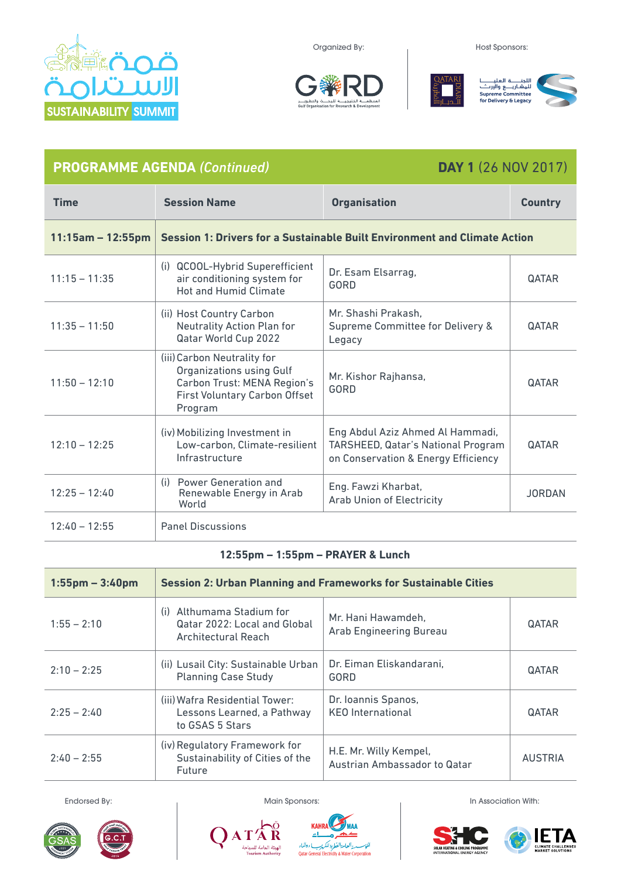

Organized By: The Contract of Host Sponsors:





| <b>PROGRAMME AGENDA (Continued)</b> |                                                                                                                                           | <b>DAY 1 (26 NOV 2017)</b>                                                                                    |                |
|-------------------------------------|-------------------------------------------------------------------------------------------------------------------------------------------|---------------------------------------------------------------------------------------------------------------|----------------|
| <b>Time</b>                         | <b>Session Name</b>                                                                                                                       | <b>Organisation</b>                                                                                           | <b>Country</b> |
| $11:15am - 12:55pm$                 |                                                                                                                                           | Session 1: Drivers for a Sustainable Built Environment and Climate Action                                     |                |
| $11:15 - 11:35$                     | (i) QCOOL-Hybrid Superefficient<br>air conditioning system for<br><b>Hot and Humid Climate</b>                                            | Dr. Esam Elsarrag,<br>GORD                                                                                    | QATAR          |
| $11:35 - 11:50$                     | (ii) Host Country Carbon<br>Neutrality Action Plan for<br>Qatar World Cup 2022                                                            | Mr. Shashi Prakash,<br>Supreme Committee for Delivery &<br>Legacy                                             | QATAR          |
| $11:50 - 12:10$                     | (iii) Carbon Neutrality for<br><b>Organizations using Gulf</b><br>Carbon Trust: MENA Region's<br>First Voluntary Carbon Offset<br>Program | Mr. Kishor Rajhansa,<br><b>GORD</b>                                                                           | QATAR          |
| $12:10 - 12:25$                     | (iv) Mobilizing Investment in<br>Low-carbon, Climate-resilient<br>Infrastructure                                                          | Eng Abdul Aziz Ahmed Al Hammadi,<br>TARSHEED, Qatar's National Program<br>on Conservation & Energy Efficiency | QATAR          |
| $12:25 - 12:40$                     | (i) Power Generation and<br>Renewable Energy in Arab<br>World                                                                             | Eng. Fawzi Kharbat,<br><b>Arab Union of Electricity</b>                                                       | <b>JORDAN</b>  |
| $12:40 - 12:55$                     | <b>Panel Discussions</b>                                                                                                                  |                                                                                                               |                |

### **12:55pm – 1:55pm – PRAYER & Lunch**

| $1:55$ pm – $3:40$ pm | <b>Session 2: Urban Planning and Frameworks for Sustainable Cities</b>              |                                                        |                |
|-----------------------|-------------------------------------------------------------------------------------|--------------------------------------------------------|----------------|
| $1:55 - 2:10$         | Althumama Stadium for<br>(i)<br>Qatar 2022: Local and Global<br>Architectural Reach | Mr. Hani Hawamdeh,<br>Arab Engineering Bureau          | <b>QATAR</b>   |
| $2:10 - 2:25$         | (ii) Lusail City: Sustainable Urban<br><b>Planning Case Study</b>                   | Dr. Eiman Eliskandarani,<br><b>GORD</b>                | <b>QATAR</b>   |
| $2:25 - 2:40$         | (iii) Wafra Residential Tower:<br>Lessons Learned, a Pathway<br>to GSAS 5 Stars     | Dr. Ioannis Spanos,<br><b>KEO</b> International        | <b>QATAR</b>   |
| $2:40 - 2:55$         | (iv) Regulatory Framework for<br>Sustainability of Cities of the<br>Future          | H.E. Mr. Willy Kempel,<br>Austrian Ambassador to Qatar | <b>AUSTRIA</b> |





 $\bar{\mathbf{R}}$ 

.<br>الهيئة العامة للسيا<br>Tourism Authority

A T



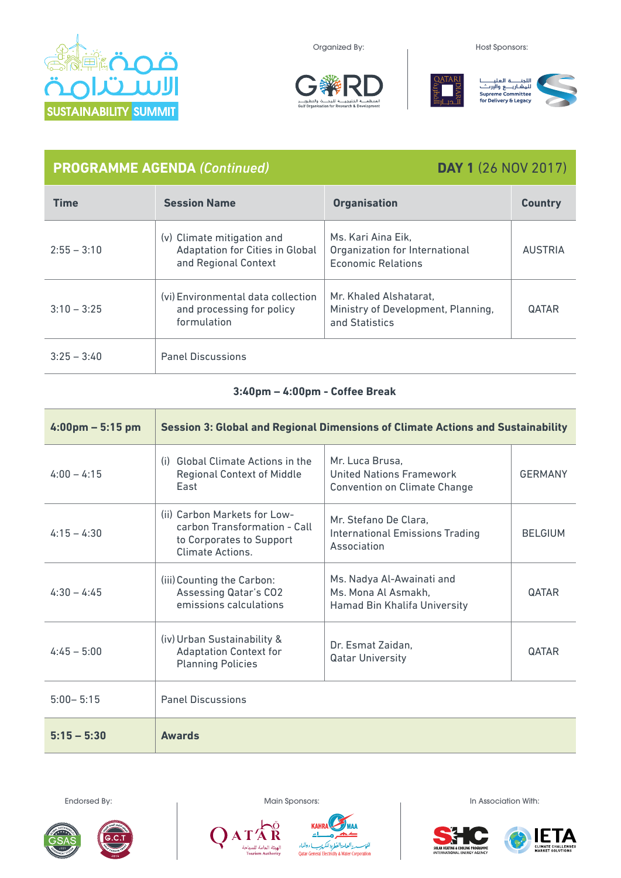





## **PROGRAMME AGENDA** *(Continued)* **DAY 1** (26 NOV 2017)

| <b>Time</b>   | <b>Session Name</b>                                                                          | <b>Organisation</b>                                                            | <b>Country</b> |
|---------------|----------------------------------------------------------------------------------------------|--------------------------------------------------------------------------------|----------------|
| $2:55 - 3:10$ | (v) Climate mitigation and<br><b>Adaptation for Cities in Global</b><br>and Regional Context | Ms. Kari Aina Eik,<br>Organization for International<br>Economic Relations     | <b>AUSTRIA</b> |
| $3:10 - 3:25$ | (vi) Environmental data collection<br>and processing for policy<br>formulation               | Mr. Khaled Alshatarat.<br>Ministry of Development, Planning,<br>and Statistics | <b>QATAR</b>   |
| $3:25 - 3:40$ | <b>Panel Discussions</b>                                                                     |                                                                                |                |

### **3:40pm – 4:00pm - Coffee Break**

| $4:00 \text{pm} - 5:15 \text{pm}$ | <b>Session 3: Global and Regional Dimensions of Climate Actions and Sustainability</b>                       |                                                                                    |                |
|-----------------------------------|--------------------------------------------------------------------------------------------------------------|------------------------------------------------------------------------------------|----------------|
| $4:00 - 4:15$                     | (i) Global Climate Actions in the<br><b>Regional Context of Middle</b><br>East                               | Mr. Luca Brusa,<br>United Nations Framework<br><b>Convention on Climate Change</b> | <b>GERMANY</b> |
| $4:15 - 4:30$                     | (ii) Carbon Markets for Low-<br>carbon Transformation - Call<br>to Corporates to Support<br>Climate Actions. | Mr. Stefano De Clara,<br><b>International Emissions Trading</b><br>Association     | <b>BELGIUM</b> |
| $4:30 - 4:45$                     | (iii) Counting the Carbon:<br><b>Assessing Qatar's CO2</b><br>emissions calculations                         | Ms. Nadya Al-Awainati and<br>Ms. Mona Al Asmakh,<br>Hamad Bin Khalifa University   | <b>QATAR</b>   |
| $4:45 - 5:00$                     | (iv) Urban Sustainability &<br><b>Adaptation Context for</b><br><b>Planning Policies</b>                     | Dr. Esmat Zaidan.<br><b>Qatar University</b>                                       | QATAR          |
| $5:00 - 5:15$                     | <b>Panel Discussions</b>                                                                                     |                                                                                    |                |
| $5:15 - 5:30$                     | <b>Awards</b>                                                                                                |                                                                                    |                |





R

.<br>الهيئة العامة للسيا<br>Tourism Authority

A T





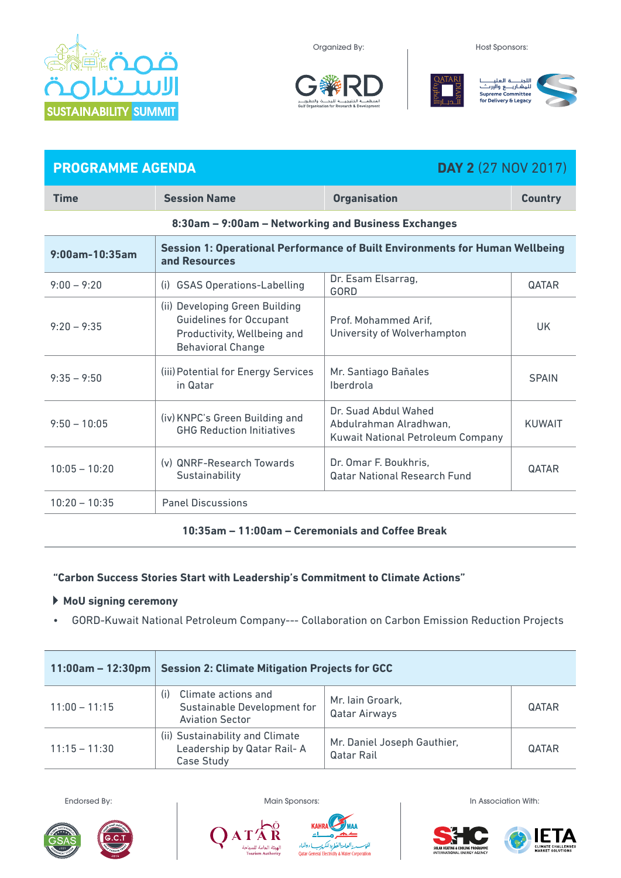

Organized By: The Contract of the Host Sponsors:







# **PROGRAMME AGENDA DAY 2** (27 NOV 2017)

| Time                                                | <b>Session Name</b>                                                                                                         | <b>Organisation</b>                                                                 | <b>Country</b> |  |
|-----------------------------------------------------|-----------------------------------------------------------------------------------------------------------------------------|-------------------------------------------------------------------------------------|----------------|--|
| 8:30am - 9:00am - Networking and Business Exchanges |                                                                                                                             |                                                                                     |                |  |
| 9:00am-10:35am                                      | Session 1: Operational Performance of Built Environments for Human Wellbeing<br>and Resources                               |                                                                                     |                |  |
| $9:00 - 9:20$                                       | <b>GSAS Operations-Labelling</b><br>(i)                                                                                     | Dr. Esam Elsarrag,<br>GORD                                                          | QATAR          |  |
| $9:20 - 9:35$                                       | (ii) Developing Green Building<br><b>Guidelines for Occupant</b><br>Productivity, Wellbeing and<br><b>Behavioral Change</b> | Prof. Mohammed Arif.<br>University of Wolverhampton                                 | UK.            |  |
| $9:35 - 9:50$                                       | (iii) Potential for Energy Services<br>in Qatar                                                                             | Mr. Santiago Bañales<br>Iberdrola                                                   | <b>SPAIN</b>   |  |
| $9:50 - 10:05$                                      | (iv) KNPC's Green Building and<br><b>GHG Reduction Initiatives</b>                                                          | Dr. Suad Abdul Wahed<br>Abdulrahman Alradhwan.<br>Kuwait National Petroleum Company | <b>KUWAIT</b>  |  |
| $10:05 - 10:20$                                     | (y) QNRF-Research Towards<br>Sustainability                                                                                 | Dr. Omar F. Boukhris,<br><b>Qatar National Research Fund</b>                        | <b>QATAR</b>   |  |
| $10:20 - 10:35$                                     | <b>Panel Discussions</b>                                                                                                    |                                                                                     |                |  |
|                                                     |                                                                                                                             |                                                                                     |                |  |

### **10:35am – 11:00am – Ceremonials and Coffee Break**

### **"Carbon Success Stories Start with Leadership's Commitment to Climate Actions"**

### **MoU signing ceremony**

• GORD-Kuwait National Petroleum Company--- Collaboration on Carbon Emission Reduction Projects

| $11:00$ am – 12:30pm | <b>Session 2: Climate Mitigation Projects for GCC</b>                               |                                           |              |
|----------------------|-------------------------------------------------------------------------------------|-------------------------------------------|--------------|
| $11:00 - 11:15$      | Climate actions and<br>(i)<br>Sustainable Development for<br><b>Aviation Sector</b> | Mr. Iain Groark,<br><b>Qatar Airways</b>  | <b>QATAR</b> |
| $11:15 - 11:30$      | (ii) Sustainability and Climate<br>Leadership by Qatar Rail-A<br>Case Study         | Mr. Daniel Joseph Gauthier,<br>Qatar Rail | <b>QATAR</b> |





Endorsed By: The Contract of Main Sponsors: In Association With: In Association With:

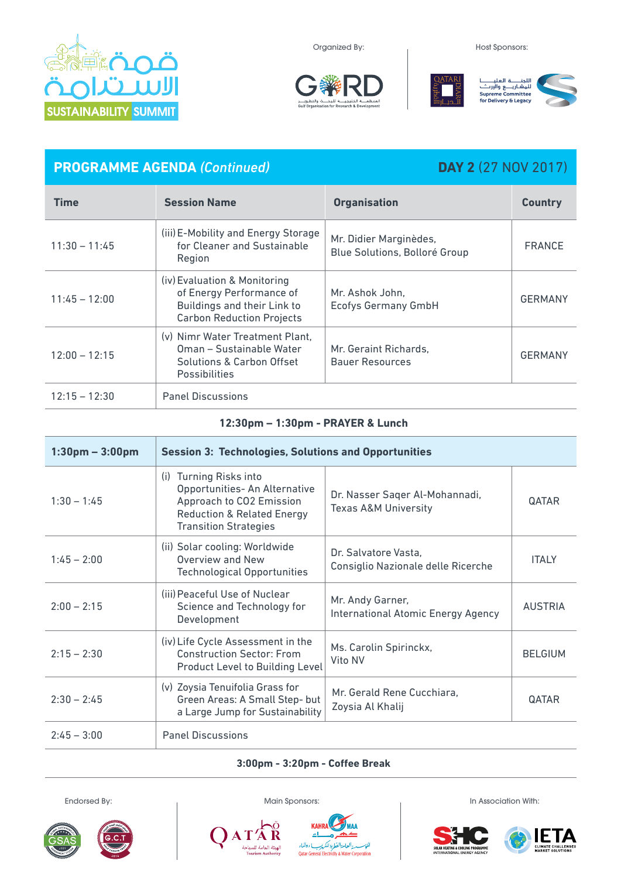

### Organized By: The Contract of the Host Sponsors:





# **PROGRAMME AGENDA** *(Continued)* **DAY 2** (27 NOV 2017)

| <b>Time</b>     | <b>Session Name</b>                                                                                                         | <b>Organisation</b>                                     | <b>Country</b> |
|-----------------|-----------------------------------------------------------------------------------------------------------------------------|---------------------------------------------------------|----------------|
| $11:30 - 11:45$ | (iii) E-Mobility and Energy Storage<br>for Cleaner and Sustainable<br>Region                                                | Mr. Didier Marginèdes,<br>Blue Solutions, Bolloré Group | <b>FRANCE</b>  |
| $11:45 - 12:00$ | (iv) Evaluation & Monitoring<br>of Energy Performance of<br>Buildings and their Link to<br><b>Carbon Reduction Projects</b> | Mr. Ashok John.<br><b>Ecofys Germany GmbH</b>           | <b>GERMANY</b> |
| $12:00 - 12:15$ | (v) Nimr Water Treatment Plant,<br>Oman - Sustainable Water<br>Solutions & Carbon Offset<br><b>Possibilities</b>            | Mr. Geraint Richards,<br><b>Bauer Resources</b>         | <b>GERMANY</b> |
| $12:15 - 12:30$ | <b>Panel Discussions</b>                                                                                                    |                                                         |                |

### **12:30pm – 1:30pm - PRAYER & Lunch**

| $1:30pm - 3:00pm$ | <b>Session 3: Technologies, Solutions and Opportunities</b>                                                                                                            |                                                                   |                |
|-------------------|------------------------------------------------------------------------------------------------------------------------------------------------------------------------|-------------------------------------------------------------------|----------------|
| $1:30 - 1:45$     | <b>Turning Risks into</b><br>(i)<br>Opportunities- An Alternative<br>Approach to CO2 Emission<br><b>Reduction &amp; Related Energy</b><br><b>Transition Strategies</b> | Dr. Nasser Sager Al-Mohannadi,<br><b>Texas A&amp;M University</b> | <b>QATAR</b>   |
| $1:45 - 2:00$     | (ii) Solar cooling: Worldwide<br>Overview and New<br><b>Technological Opportunities</b>                                                                                | Dr. Salvatore Vasta,<br>Consiglio Nazionale delle Ricerche        | <b>ITALY</b>   |
| $2:00 - 2:15$     | (iii) Peaceful Use of Nuclear<br>Science and Technology for<br>Development                                                                                             | Mr. Andy Garner,<br>International Atomic Energy Agency            | <b>AUSTRIA</b> |
| $2:15 - 2:30$     | (iv) Life Cycle Assessment in the<br><b>Construction Sector: From</b><br><b>Product Level to Building Level</b>                                                        | Ms. Carolin Spirinckx,<br>Vito NV                                 | <b>BELGIUM</b> |
| $2:30 - 2:45$     | (v) Zoysia Tenuifolia Grass for<br>Green Areas: A Small Step- but<br>a Large Jump for Sustainability                                                                   | Mr. Gerald Rene Cucchiara,<br>Zoysia Al Khalij                    | <b>QATAR</b>   |
| $2:45 - 3:00$     | <b>Panel Discussions</b>                                                                                                                                               |                                                                   |                |

### **3:00pm - 3:20pm - Coffee Break**



R

.<br>الهيئة العامة للا<br>rism Authority

H



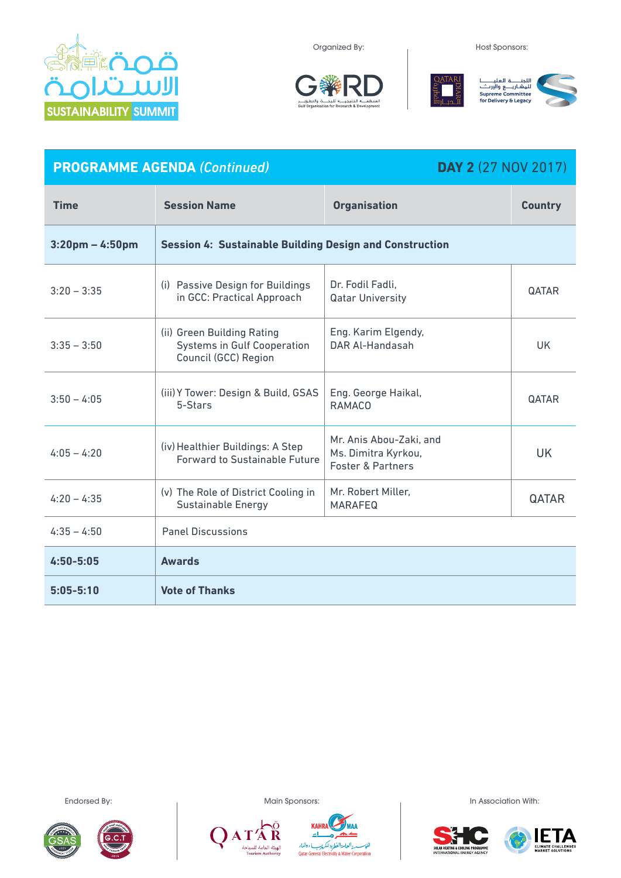

Organized By: The Contract of Host Sponsors:



| <b>PROGRAMME AGENDA (Continued)</b> |                                                                                          |                                                                                | <b>DAY 2</b> (27 NOV 2017) |  |
|-------------------------------------|------------------------------------------------------------------------------------------|--------------------------------------------------------------------------------|----------------------------|--|
| <b>Time</b>                         | <b>Session Name</b>                                                                      | <b>Organisation</b>                                                            | <b>Country</b>             |  |
| $3:20$ pm – 4:50pm                  | <b>Session 4: Sustainable Building Design and Construction</b>                           |                                                                                |                            |  |
| $3:20 - 3:35$                       | (i) Passive Design for Buildings<br>in GCC: Practical Approach                           | Dr. Fodil Fadli,<br><b>Qatar University</b>                                    | <b>QATAR</b>               |  |
| $3:35 - 3:50$                       | (ii) Green Building Rating<br><b>Systems in Gulf Cooperation</b><br>Council (GCC) Region | Eng. Karim Elgendy,<br>DAR Al-Handasah                                         | <b>UK</b>                  |  |
| $3:50 - 4:05$                       | (iii) Y Tower: Design & Build, GSAS<br>5-Stars                                           | Eng. George Haikal,<br><b>RAMACO</b>                                           | QATAR                      |  |
| $4:05 - 4:20$                       | (iv) Healthier Buildings: A Step<br><b>Forward to Sustainable Future</b>                 | Mr. Anis Abou-Zaki, and<br>Ms. Dimitra Kyrkou,<br><b>Foster &amp; Partners</b> | <b>UK</b>                  |  |
| $4:20 - 4:35$                       | (v) The Role of District Cooling in<br><b>Sustainable Energy</b>                         | Mr. Robert Miller,<br><b>MARAFEQ</b>                                           | QATAR                      |  |
| $4:35 - 4:50$                       | <b>Panel Discussions</b>                                                                 |                                                                                |                            |  |
| $4:50 - 5:05$                       | <b>Awards</b>                                                                            |                                                                                |                            |  |
| $5:05 - 5:10$                       | <b>Vote of Thanks</b>                                                                    |                                                                                |                            |  |





C